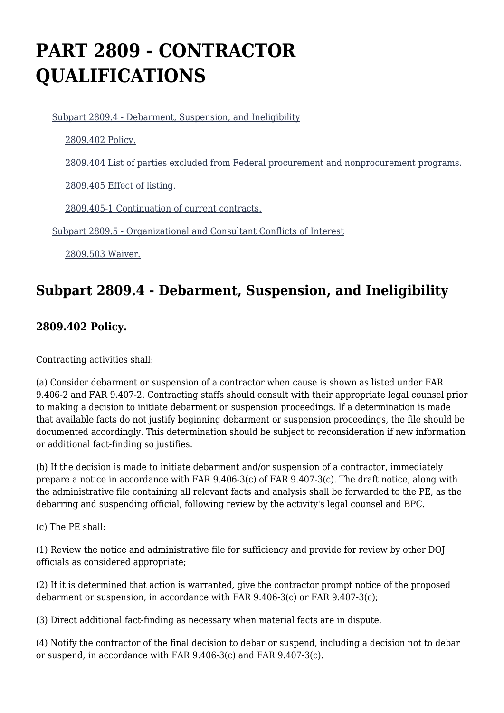# **PART 2809 - CONTRACTOR QUALIFICATIONS**

[Subpart 2809.4 - Debarment, Suspension, and Ineligibility](https://login.acquisition.gov/%5Brp:link:jar-part-2809%5D#Subpart_2809_4_T48_601161101)

[2809.402 Policy.](https://login.acquisition.gov/%5Brp:link:jar-part-2809%5D#Section_2809_402_T48_60116110111)

[2809.404 List of parties excluded from Federal procurement and nonprocurement programs.](https://login.acquisition.gov/%5Brp:link:jar-part-2809%5D#Section_2809_404_T48_60116110112)

[2809.405 Effect of listing.](https://login.acquisition.gov/%5Brp:link:jar-part-2809%5D#Section_2809_405_T48_60116110113)

[2809.405-1 Continuation of current contracts.](https://login.acquisition.gov/%5Brp:link:jar-part-2809%5D#Section_2809_405_1_T48_60116110114)

[Subpart 2809.5 - Organizational and Consultant Conflicts of Interest](https://login.acquisition.gov/%5Brp:link:jar-part-2809%5D#Subpart_2809_5_T48_601161102)

[2809.503 Waiver.](https://login.acquisition.gov/%5Brp:link:jar-part-2809%5D#Section_2809_503_T48_60116110211)

# **Subpart 2809.4 - Debarment, Suspension, and Ineligibility**

## **2809.402 Policy.**

Contracting activities shall:

(a) Consider debarment or suspension of a contractor when cause is shown as listed under FAR 9.406-2 and FAR 9.407-2. Contracting staffs should consult with their appropriate legal counsel prior to making a decision to initiate debarment or suspension proceedings. If a determination is made that available facts do not justify beginning debarment or suspension proceedings, the file should be documented accordingly. This determination should be subject to reconsideration if new information or additional fact-finding so justifies.

(b) If the decision is made to initiate debarment and/or suspension of a contractor, immediately prepare a notice in accordance with FAR 9.406-3(c) of FAR 9.407-3(c). The draft notice, along with the administrative file containing all relevant facts and analysis shall be forwarded to the PE, as the debarring and suspending official, following review by the activity's legal counsel and BPC.

(c) The PE shall:

(1) Review the notice and administrative file for sufficiency and provide for review by other DOJ officials as considered appropriate;

(2) If it is determined that action is warranted, give the contractor prompt notice of the proposed debarment or suspension, in accordance with FAR 9.406-3(c) or FAR 9.407-3(c);

(3) Direct additional fact-finding as necessary when material facts are in dispute.

(4) Notify the contractor of the final decision to debar or suspend, including a decision not to debar or suspend, in accordance with FAR 9.406-3(c) and FAR 9.407-3(c).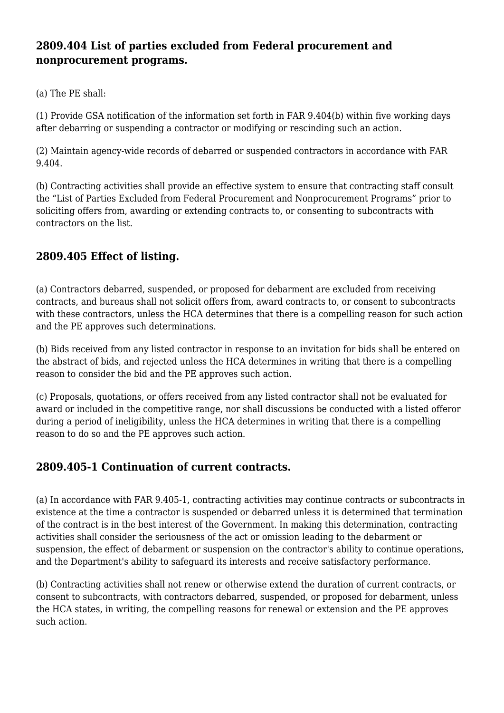## **2809.404 List of parties excluded from Federal procurement and nonprocurement programs.**

(a) The PE shall:

(1) Provide GSA notification of the information set forth in FAR 9.404(b) within five working days after debarring or suspending a contractor or modifying or rescinding such an action.

(2) Maintain agency-wide records of debarred or suspended contractors in accordance with FAR 9.404.

(b) Contracting activities shall provide an effective system to ensure that contracting staff consult the "List of Parties Excluded from Federal Procurement and Nonprocurement Programs" prior to soliciting offers from, awarding or extending contracts to, or consenting to subcontracts with contractors on the list.

# **2809.405 Effect of listing.**

(a) Contractors debarred, suspended, or proposed for debarment are excluded from receiving contracts, and bureaus shall not solicit offers from, award contracts to, or consent to subcontracts with these contractors, unless the HCA determines that there is a compelling reason for such action and the PE approves such determinations.

(b) Bids received from any listed contractor in response to an invitation for bids shall be entered on the abstract of bids, and rejected unless the HCA determines in writing that there is a compelling reason to consider the bid and the PE approves such action.

(c) Proposals, quotations, or offers received from any listed contractor shall not be evaluated for award or included in the competitive range, nor shall discussions be conducted with a listed offeror during a period of ineligibility, unless the HCA determines in writing that there is a compelling reason to do so and the PE approves such action.

## **2809.405-1 Continuation of current contracts.**

(a) In accordance with FAR 9.405-1, contracting activities may continue contracts or subcontracts in existence at the time a contractor is suspended or debarred unless it is determined that termination of the contract is in the best interest of the Government. In making this determination, contracting activities shall consider the seriousness of the act or omission leading to the debarment or suspension, the effect of debarment or suspension on the contractor's ability to continue operations, and the Department's ability to safeguard its interests and receive satisfactory performance.

(b) Contracting activities shall not renew or otherwise extend the duration of current contracts, or consent to subcontracts, with contractors debarred, suspended, or proposed for debarment, unless the HCA states, in writing, the compelling reasons for renewal or extension and the PE approves such action.